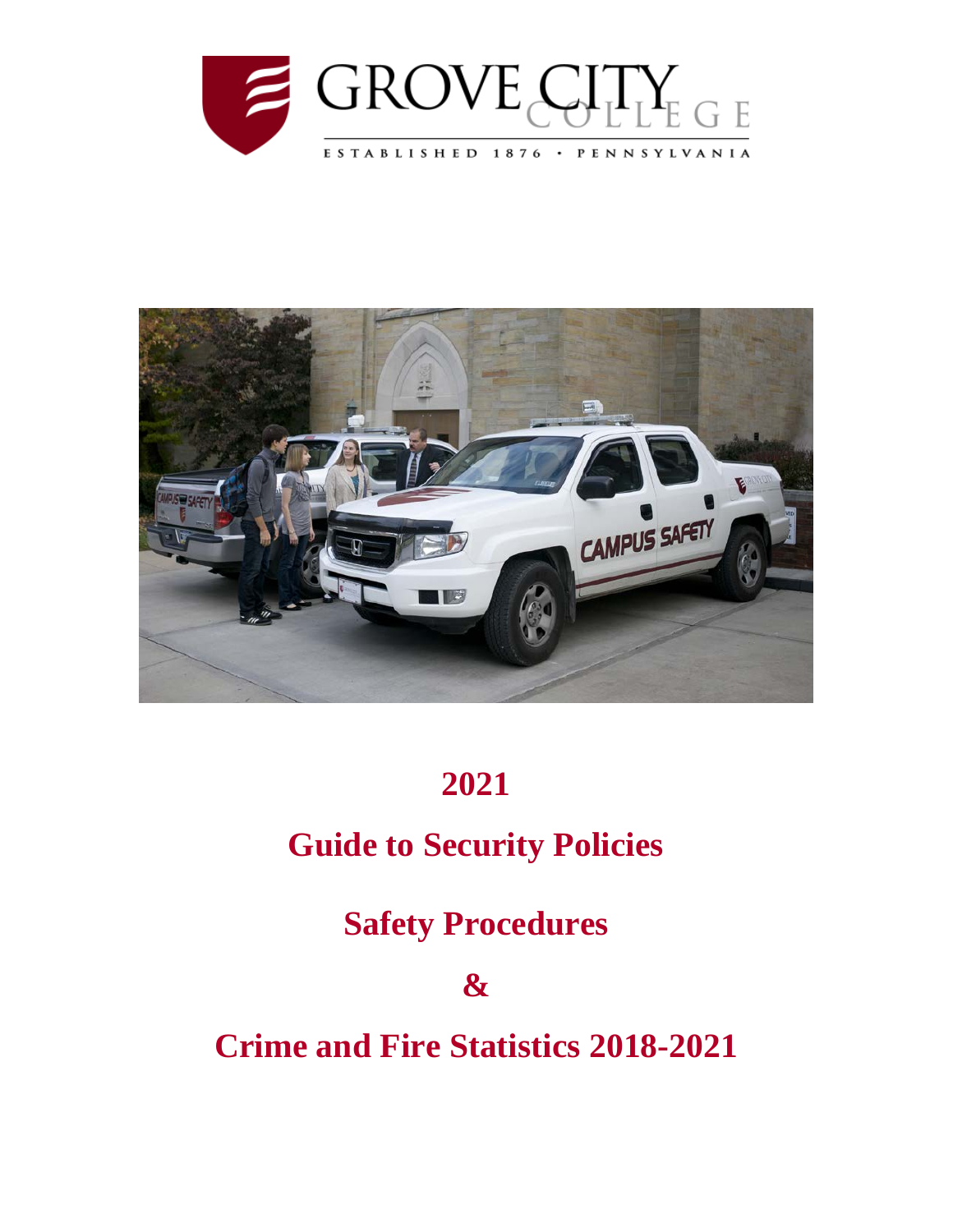



## **2021**

## **Guide to Security Policies**

**Safety Procedures**

**&**

**Crime and Fire Statistics 2018-2021**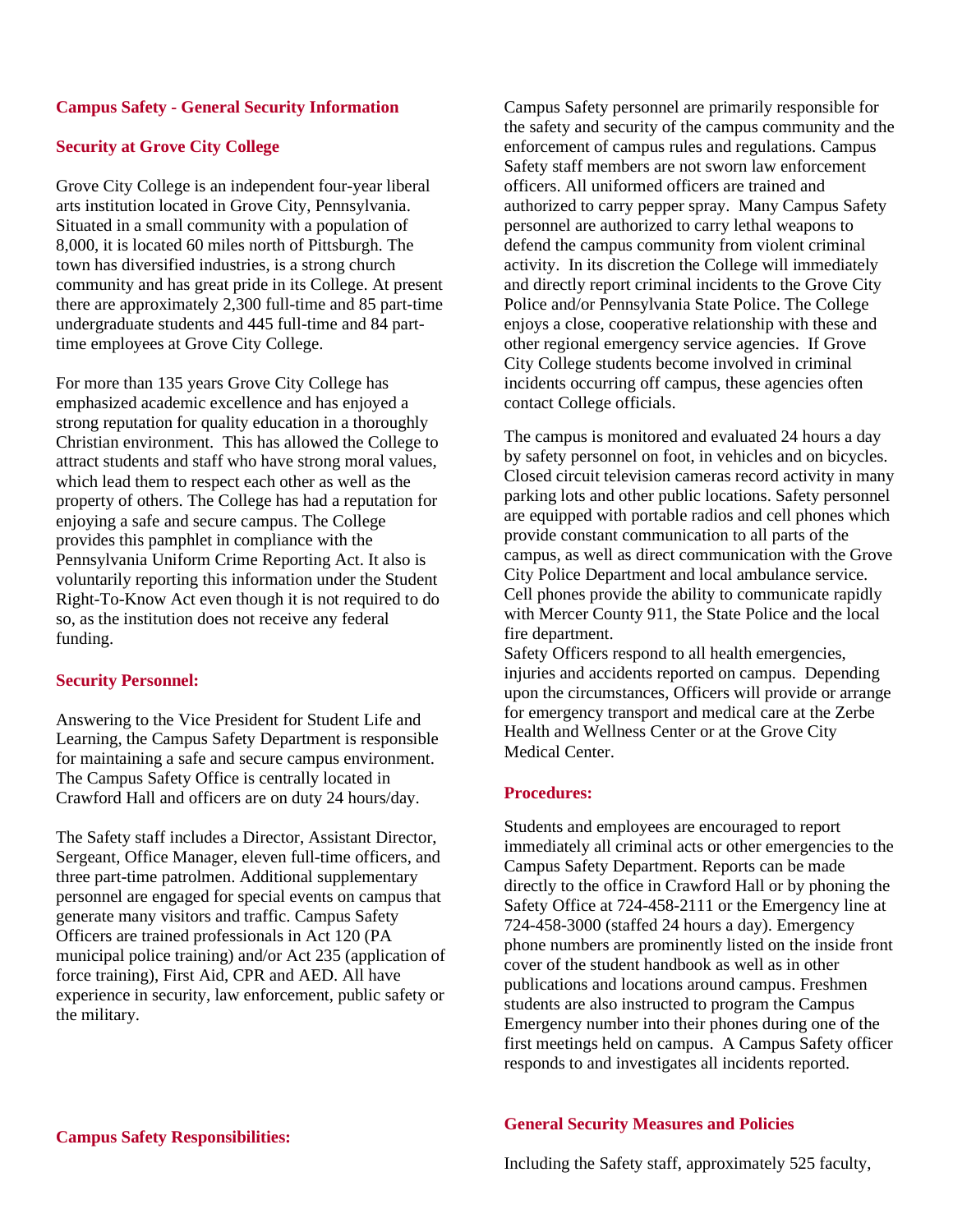#### **Campus Safety - General Security Information**

#### **Security at Grove City College**

Grove City College is an independent four-year liberal arts institution located in Grove City, Pennsylvania. Situated in a small community with a population of 8,000, it is located 60 miles north of Pittsburgh. The town has diversified industries, is a strong church community and has great pride in its College. At present there are approximately 2,300 full-time and 85 part-time undergraduate students and 445 full-time and 84 parttime employees at Grove City College.

For more than 135 years Grove City College has emphasized academic excellence and has enjoyed a strong reputation for quality education in a thoroughly Christian environment. This has allowed the College to attract students and staff who have strong moral values, which lead them to respect each other as well as the property of others. The College has had a reputation for enjoying a safe and secure campus. The College provides this pamphlet in compliance with the Pennsylvania Uniform Crime Reporting Act. It also is voluntarily reporting this information under the Student Right-To-Know Act even though it is not required to do so, as the institution does not receive any federal funding.

#### **Security Personnel:**

Answering to the Vice President for Student Life and Learning, the Campus Safety Department is responsible for maintaining a safe and secure campus environment. The Campus Safety Office is centrally located in Crawford Hall and officers are on duty 24 hours/day.

The Safety staff includes a Director, Assistant Director, Sergeant, Office Manager, eleven full-time officers, and three part-time patrolmen. Additional supplementary personnel are engaged for special events on campus that generate many visitors and traffic. Campus Safety Officers are trained professionals in Act 120 (PA municipal police training) and/or Act 235 (application of force training), First Aid, CPR and AED. All have experience in security, law enforcement, public safety or the military.

Campus Safety personnel are primarily responsible for the safety and security of the campus community and the enforcement of campus rules and regulations. Campus Safety staff members are not sworn law enforcement officers. All uniformed officers are trained and authorized to carry pepper spray. Many Campus Safety personnel are authorized to carry lethal weapons to defend the campus community from violent criminal activity. In its discretion the College will immediately and directly report criminal incidents to the Grove City Police and/or Pennsylvania State Police. The College enjoys a close, cooperative relationship with these and other regional emergency service agencies. If Grove City College students become involved in criminal incidents occurring off campus, these agencies often contact College officials.

The campus is monitored and evaluated 24 hours a day by safety personnel on foot, in vehicles and on bicycles. Closed circuit television cameras record activity in many parking lots and other public locations. Safety personnel are equipped with portable radios and cell phones which provide constant communication to all parts of the campus, as well as direct communication with the Grove City Police Department and local ambulance service. Cell phones provide the ability to communicate rapidly with Mercer County 911, the State Police and the local fire department.

Safety Officers respond to all health emergencies, injuries and accidents reported on campus. Depending upon the circumstances, Officers will provide or arrange for emergency transport and medical care at the Zerbe Health and Wellness Center or at the Grove City Medical Center.

#### **Procedures:**

Students and employees are encouraged to report immediately all criminal acts or other emergencies to the Campus Safety Department. Reports can be made directly to the office in Crawford Hall or by phoning the Safety Office at 724-458-2111 or the Emergency line at 724-458-3000 (staffed 24 hours a day). Emergency phone numbers are prominently listed on the inside front cover of the student handbook as well as in other publications and locations around campus. Freshmen students are also instructed to program the Campus Emergency number into their phones during one of the first meetings held on campus. A Campus Safety officer responds to and investigates all incidents reported.

#### **General Security Measures and Policies**

Including the Safety staff, approximately 525 faculty,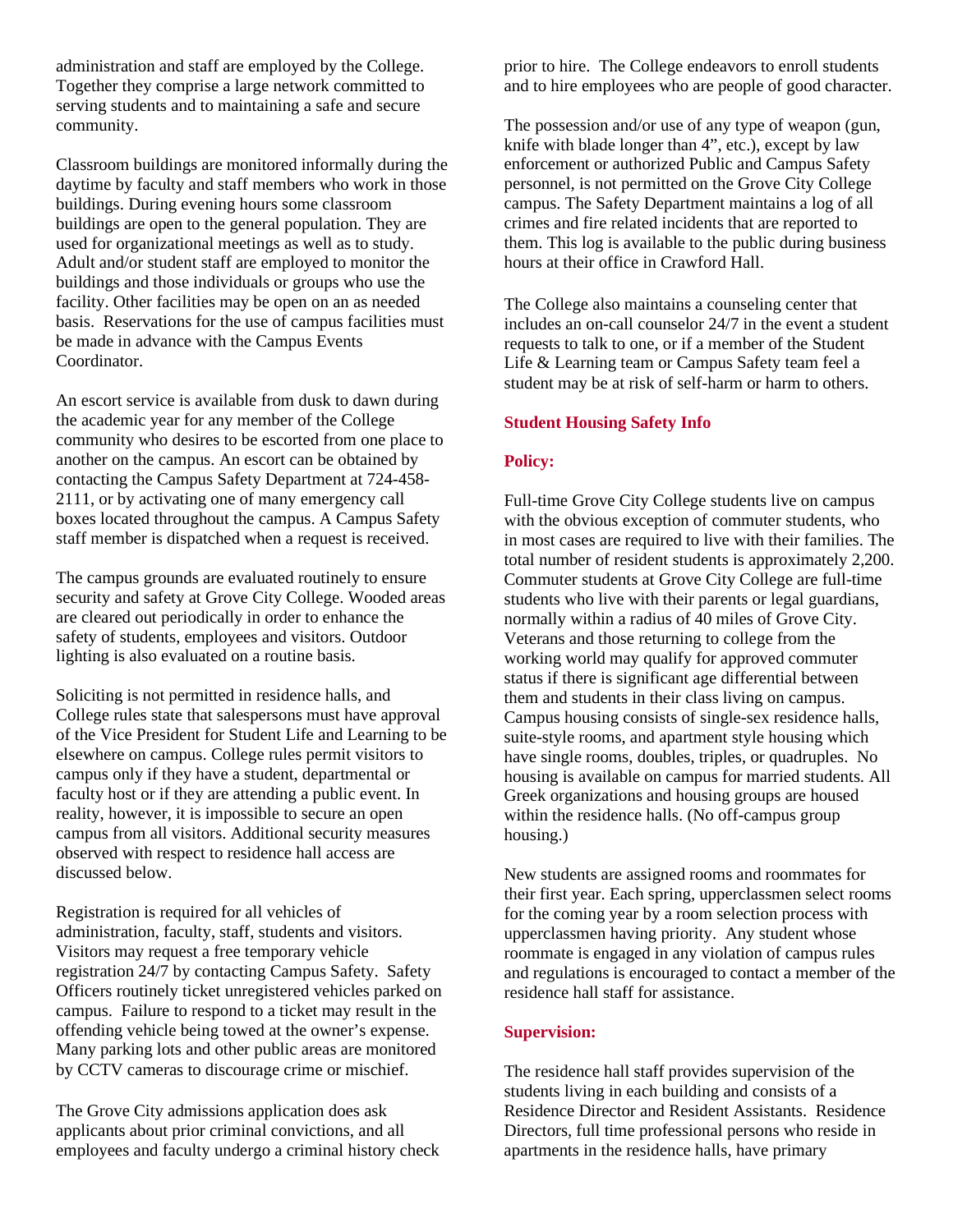administration and staff are employed by the College. Together they comprise a large network committed to serving students and to maintaining a safe and secure community.

Classroom buildings are monitored informally during the daytime by faculty and staff members who work in those buildings. During evening hours some classroom buildings are open to the general population. They are used for organizational meetings as well as to study. Adult and/or student staff are employed to monitor the buildings and those individuals or groups who use the facility. Other facilities may be open on an as needed basis. Reservations for the use of campus facilities must be made in advance with the Campus Events Coordinator.

An escort service is available from dusk to dawn during the academic year for any member of the College community who desires to be escorted from one place to another on the campus. An escort can be obtained by contacting the Campus Safety Department at 724-458- 2111, or by activating one of many emergency call boxes located throughout the campus. A Campus Safety staff member is dispatched when a request is received.

The campus grounds are evaluated routinely to ensure security and safety at Grove City College. Wooded areas are cleared out periodically in order to enhance the safety of students, employees and visitors. Outdoor lighting is also evaluated on a routine basis.

Soliciting is not permitted in residence halls, and College rules state that salespersons must have approval of the Vice President for Student Life and Learning to be elsewhere on campus. College rules permit visitors to campus only if they have a student, departmental or faculty host or if they are attending a public event. In reality, however, it is impossible to secure an open campus from all visitors. Additional security measures observed with respect to residence hall access are discussed below.

Registration is required for all vehicles of administration, faculty, staff, students and visitors. Visitors may request a free temporary vehicle registration 24/7 by contacting Campus Safety. Safety Officers routinely ticket unregistered vehicles parked on campus. Failure to respond to a ticket may result in the offending vehicle being towed at the owner's expense. Many parking lots and other public areas are monitored by CCTV cameras to discourage crime or mischief.

The Grove City admissions application does ask applicants about prior criminal convictions, and all employees and faculty undergo a criminal history check prior to hire. The College endeavors to enroll students and to hire employees who are people of good character.

The possession and/or use of any type of weapon (gun, knife with blade longer than 4", etc.), except by law enforcement or authorized Public and Campus Safety personnel, is not permitted on the Grove City College campus. The Safety Department maintains a log of all crimes and fire related incidents that are reported to them. This log is available to the public during business hours at their office in Crawford Hall.

The College also maintains a counseling center that includes an on-call counselor 24/7 in the event a student requests to talk to one, or if a member of the Student Life & Learning team or Campus Safety team feel a student may be at risk of self-harm or harm to others.

#### **Student Housing Safety Info**

#### **Policy:**

Full-time Grove City College students live on campus with the obvious exception of commuter students, who in most cases are required to live with their families. The total number of resident students is approximately 2,200. Commuter students at Grove City College are full-time students who live with their parents or legal guardians, normally within a radius of 40 miles of Grove City. Veterans and those returning to college from the working world may qualify for approved commuter status if there is significant age differential between them and students in their class living on campus. Campus housing consists of single-sex residence halls, suite-style rooms, and apartment style housing which have single rooms, doubles, triples, or quadruples. No housing is available on campus for married students. All Greek organizations and housing groups are housed within the residence halls. (No off-campus group housing.)

New students are assigned rooms and roommates for their first year. Each spring, upperclassmen select rooms for the coming year by a room selection process with upperclassmen having priority. Any student whose roommate is engaged in any violation of campus rules and regulations is encouraged to contact a member of the residence hall staff for assistance.

#### **Supervision:**

The residence hall staff provides supervision of the students living in each building and consists of a Residence Director and Resident Assistants. Residence Directors, full time professional persons who reside in apartments in the residence halls, have primary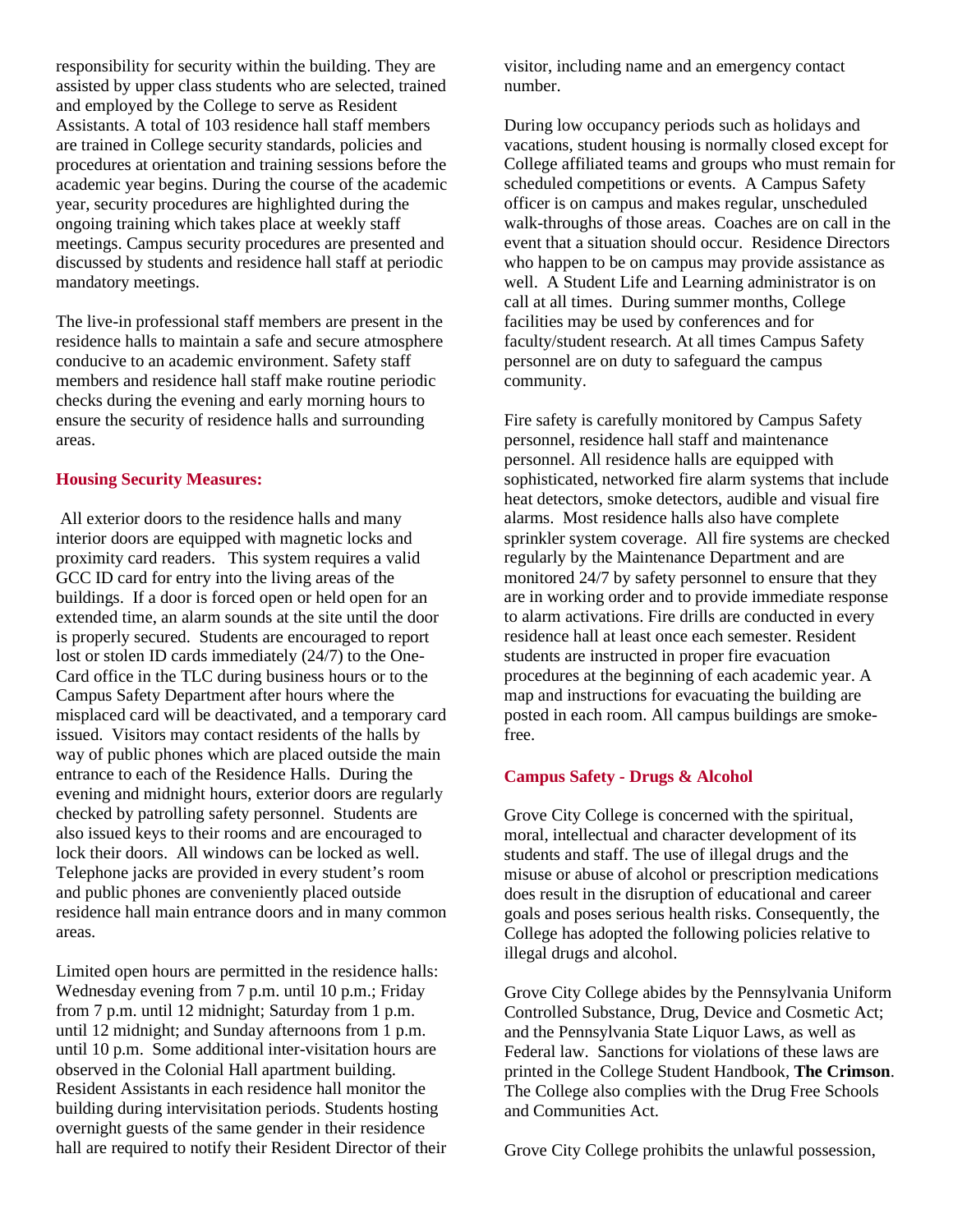responsibility for security within the building. They are assisted by upper class students who are selected, trained and employed by the College to serve as Resident Assistants. A total of 103 residence hall staff members are trained in College security standards, policies and procedures at orientation and training sessions before the academic year begins. During the course of the academic year, security procedures are highlighted during the ongoing training which takes place at weekly staff meetings. Campus security procedures are presented and discussed by students and residence hall staff at periodic mandatory meetings.

The live-in professional staff members are present in the residence halls to maintain a safe and secure atmosphere conducive to an academic environment. Safety staff members and residence hall staff make routine periodic checks during the evening and early morning hours to ensure the security of residence halls and surrounding areas.

#### **Housing Security Measures:**

All exterior doors to the residence halls and many interior doors are equipped with magnetic locks and proximity card readers. This system requires a valid GCC ID card for entry into the living areas of the buildings. If a door is forced open or held open for an extended time, an alarm sounds at the site until the door is properly secured. Students are encouraged to report lost or stolen ID cards immediately (24/7) to the One-Card office in the TLC during business hours or to the Campus Safety Department after hours where the misplaced card will be deactivated, and a temporary card issued. Visitors may contact residents of the halls by way of public phones which are placed outside the main entrance to each of the Residence Halls. During the evening and midnight hours, exterior doors are regularly checked by patrolling safety personnel. Students are also issued keys to their rooms and are encouraged to lock their doors. All windows can be locked as well. Telephone jacks are provided in every student's room and public phones are conveniently placed outside residence hall main entrance doors and in many common areas.

Limited open hours are permitted in the residence halls: Wednesday evening from 7 p.m. until 10 p.m.; Friday from 7 p.m. until 12 midnight; Saturday from 1 p.m. until 12 midnight; and Sunday afternoons from 1 p.m. until 10 p.m. Some additional inter-visitation hours are observed in the Colonial Hall apartment building. Resident Assistants in each residence hall monitor the building during intervisitation periods. Students hosting overnight guests of the same gender in their residence hall are required to notify their Resident Director of their visitor, including name and an emergency contact number.

During low occupancy periods such as holidays and vacations, student housing is normally closed except for College affiliated teams and groups who must remain for scheduled competitions or events. A Campus Safety officer is on campus and makes regular, unscheduled walk-throughs of those areas. Coaches are on call in the event that a situation should occur. Residence Directors who happen to be on campus may provide assistance as well. A Student Life and Learning administrator is on call at all times. During summer months, College facilities may be used by conferences and for faculty/student research. At all times Campus Safety personnel are on duty to safeguard the campus community.

Fire safety is carefully monitored by Campus Safety personnel, residence hall staff and maintenance personnel. All residence halls are equipped with sophisticated, networked fire alarm systems that include heat detectors, smoke detectors, audible and visual fire alarms. Most residence halls also have complete sprinkler system coverage. All fire systems are checked regularly by the Maintenance Department and are monitored 24/7 by safety personnel to ensure that they are in working order and to provide immediate response to alarm activations. Fire drills are conducted in every residence hall at least once each semester. Resident students are instructed in proper fire evacuation procedures at the beginning of each academic year. A map and instructions for evacuating the building are posted in each room. All campus buildings are smokefree.

#### **Campus Safety - Drugs & Alcohol**

Grove City College is concerned with the spiritual, moral, intellectual and character development of its students and staff. The use of illegal drugs and the misuse or abuse of alcohol or prescription medications does result in the disruption of educational and career goals and poses serious health risks. Consequently, the College has adopted the following policies relative to illegal drugs and alcohol.

Grove City College abides by the Pennsylvania Uniform Controlled Substance, Drug, Device and Cosmetic Act; and the Pennsylvania State Liquor Laws, as well as Federal law. Sanctions for violations of these laws are printed in the College Student Handbook, **The Crimson**. The College also complies with the Drug Free Schools and Communities Act.

Grove City College prohibits the unlawful possession,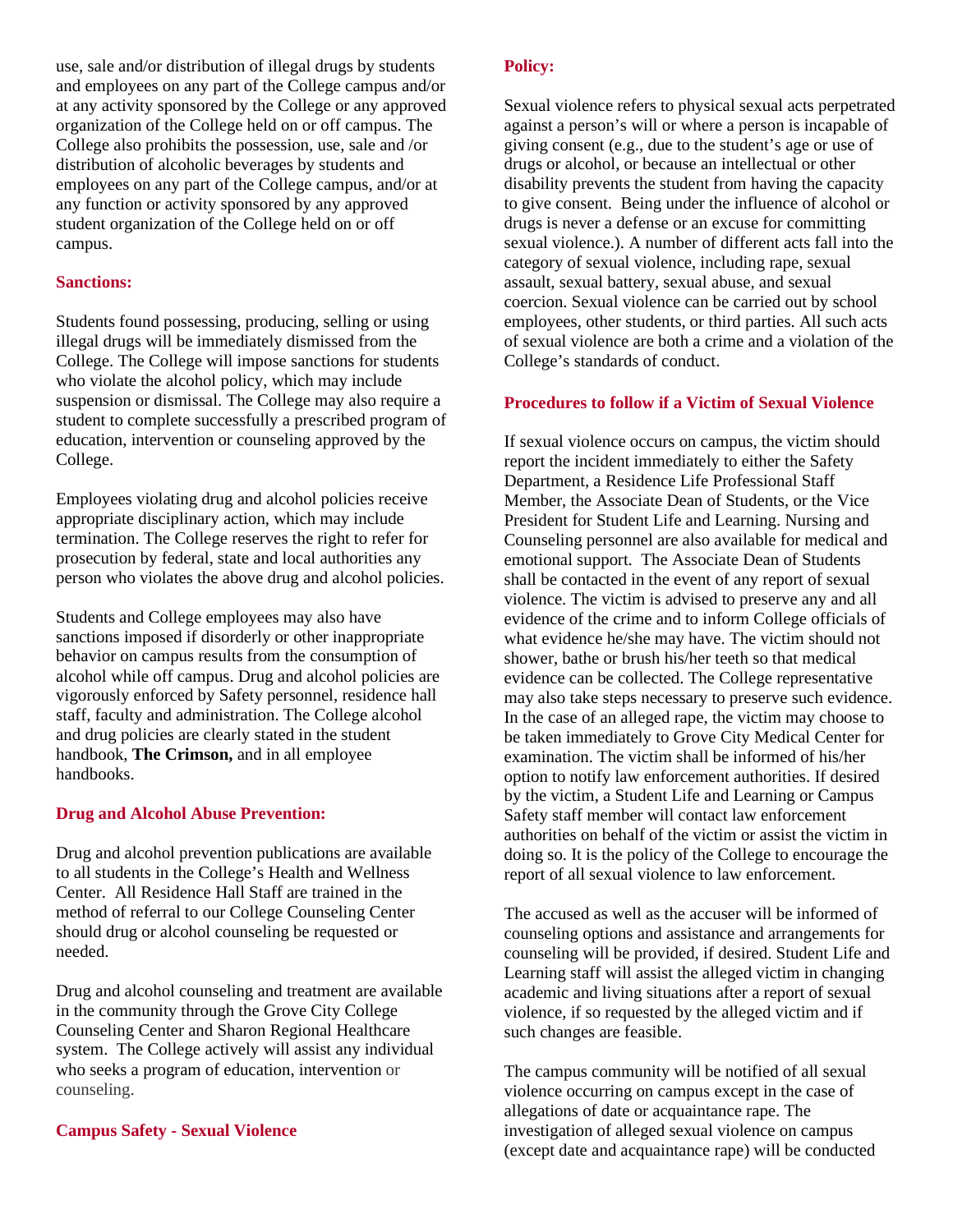use, sale and/or distribution of illegal drugs by students and employees on any part of the College campus and/or at any activity sponsored by the College or any approved organization of the College held on or off campus. The College also prohibits the possession, use, sale and /or distribution of alcoholic beverages by students and employees on any part of the College campus, and/or at any function or activity sponsored by any approved student organization of the College held on or off campus.

#### **Sanctions:**

Students found possessing, producing, selling or using illegal drugs will be immediately dismissed from the College. The College will impose sanctions for students who violate the alcohol policy, which may include suspension or dismissal. The College may also require a student to complete successfully a prescribed program of education, intervention or counseling approved by the College.

Employees violating drug and alcohol policies receive appropriate disciplinary action, which may include termination. The College reserves the right to refer for prosecution by federal, state and local authorities any person who violates the above drug and alcohol policies.

Students and College employees may also have sanctions imposed if disorderly or other inappropriate behavior on campus results from the consumption of alcohol while off campus. Drug and alcohol policies are vigorously enforced by Safety personnel, residence hall staff, faculty and administration. The College alcohol and drug policies are clearly stated in the student handbook, **The Crimson,** and in all employee handbooks.

#### **Drug and Alcohol Abuse Prevention:**

Drug and alcohol prevention publications are available to all students in the College's Health and Wellness Center. All Residence Hall Staff are trained in the method of referral to our College Counseling Center should drug or alcohol counseling be requested or needed.

Drug and alcohol counseling and treatment are available in the community through the Grove City College Counseling Center and Sharon Regional Healthcare system. The College actively will assist any individual who seeks a program of education, intervention or counseling.

#### **Campus Safety - Sexual Violence**

#### **Policy:**

Sexual violence refers to physical sexual acts perpetrated against a person's will or where a person is incapable of giving consent (e.g., due to the student's age or use of drugs or alcohol, or because an intellectual or other disability prevents the student from having the capacity to give consent. Being under the influence of alcohol or drugs is never a defense or an excuse for committing sexual violence.). A number of different acts fall into the category of sexual violence, including rape, sexual assault, sexual battery, sexual abuse, and sexual coercion. Sexual violence can be carried out by school employees, other students, or third parties. All such acts of sexual violence are both a crime and a violation of the College's standards of conduct.

#### **Procedures to follow if a Victim of Sexual Violence**

If sexual violence occurs on campus, the victim should report the incident immediately to either the Safety Department, a Residence Life Professional Staff Member, the Associate Dean of Students, or the Vice President for Student Life and Learning. Nursing and Counseling personnel are also available for medical and emotional support. The Associate Dean of Students shall be contacted in the event of any report of sexual violence. The victim is advised to preserve any and all evidence of the crime and to inform College officials of what evidence he/she may have. The victim should not shower, bathe or brush his/her teeth so that medical evidence can be collected. The College representative may also take steps necessary to preserve such evidence. In the case of an alleged rape, the victim may choose to be taken immediately to Grove City Medical Center for examination. The victim shall be informed of his/her option to notify law enforcement authorities. If desired by the victim, a Student Life and Learning or Campus Safety staff member will contact law enforcement authorities on behalf of the victim or assist the victim in doing so. It is the policy of the College to encourage the report of all sexual violence to law enforcement.

The accused as well as the accuser will be informed of counseling options and assistance and arrangements for counseling will be provided, if desired. Student Life and Learning staff will assist the alleged victim in changing academic and living situations after a report of sexual violence, if so requested by the alleged victim and if such changes are feasible.

The campus community will be notified of all sexual violence occurring on campus except in the case of allegations of date or acquaintance rape. The investigation of alleged sexual violence on campus (except date and acquaintance rape) will be conducted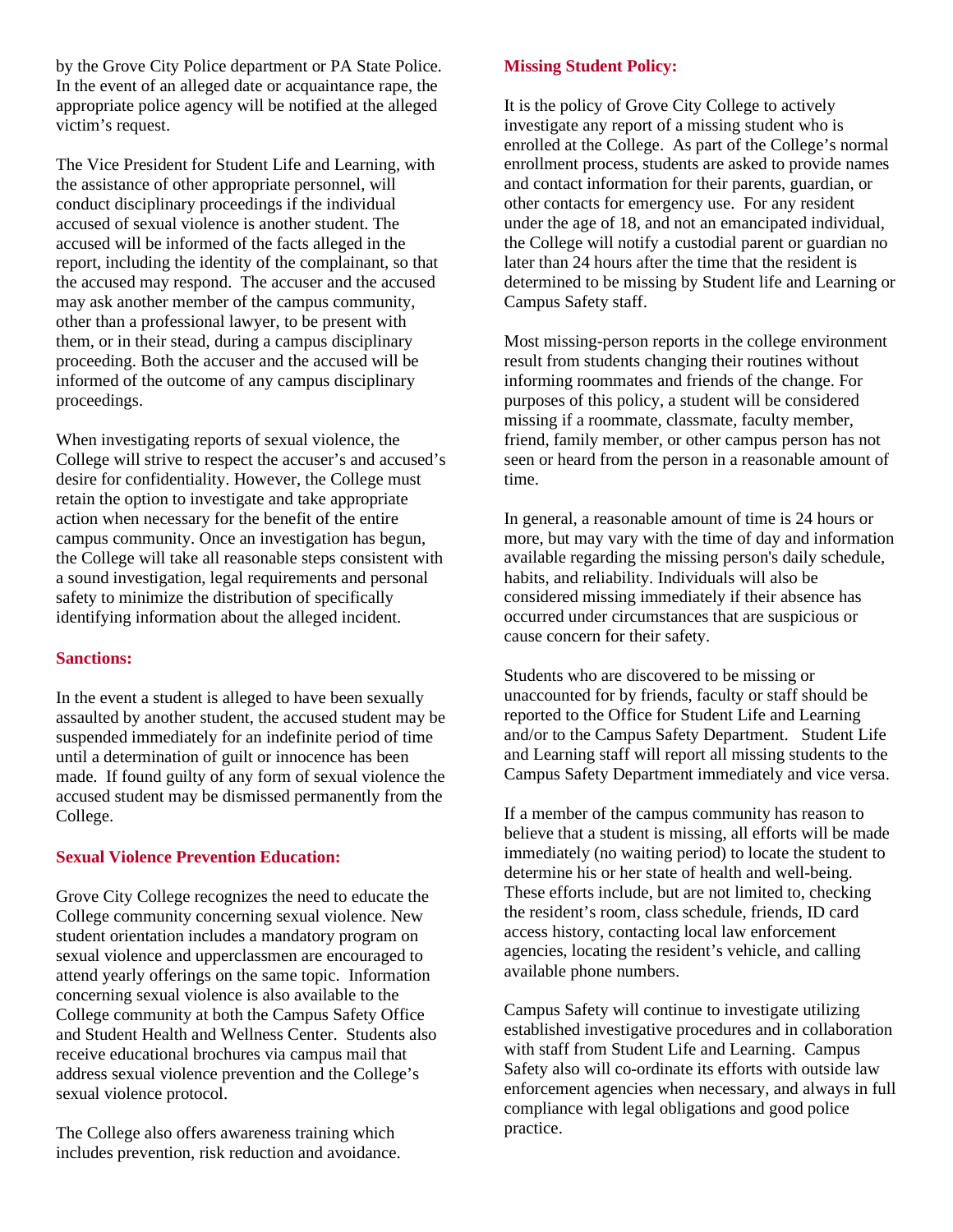by the Grove City Police department or PA State Police. In the event of an alleged date or acquaintance rape, the appropriate police agency will be notified at the alleged victim's request.

The Vice President for Student Life and Learning, with the assistance of other appropriate personnel, will conduct disciplinary proceedings if the individual accused of sexual violence is another student. The accused will be informed of the facts alleged in the report, including the identity of the complainant, so that the accused may respond. The accuser and the accused may ask another member of the campus community, other than a professional lawyer, to be present with them, or in their stead, during a campus disciplinary proceeding. Both the accuser and the accused will be informed of the outcome of any campus disciplinary proceedings.

When investigating reports of sexual violence, the College will strive to respect the accuser's and accused's desire for confidentiality. However, the College must retain the option to investigate and take appropriate action when necessary for the benefit of the entire campus community. Once an investigation has begun, the College will take all reasonable steps consistent with a sound investigation, legal requirements and personal safety to minimize the distribution of specifically identifying information about the alleged incident.

#### **Sanctions:**

In the event a student is alleged to have been sexually assaulted by another student, the accused student may be suspended immediately for an indefinite period of time until a determination of guilt or innocence has been made. If found guilty of any form of sexual violence the accused student may be dismissed permanently from the College.

#### **Sexual Violence Prevention Education:**

Grove City College recognizes the need to educate the College community concerning sexual violence. New student orientation includes a mandatory program on sexual violence and upperclassmen are encouraged to attend yearly offerings on the same topic. Information concerning sexual violence is also available to the College community at both the Campus Safety Office and Student Health and Wellness Center. Students also receive educational brochures via campus mail that address sexual violence prevention and the College's sexual violence protocol.

The College also offers awareness training which includes prevention, risk reduction and avoidance.

#### **Missing Student Policy:**

It is the policy of Grove City College to actively investigate any report of a missing student who is enrolled at the College. As part of the College's normal enrollment process, students are asked to provide names and contact information for their parents, guardian, or other contacts for emergency use. For any resident under the age of 18, and not an emancipated individual, the College will notify a custodial parent or guardian no later than 24 hours after the time that the resident is determined to be missing by Student life and Learning or Campus Safety staff.

Most missing-person reports in the college environment result from students changing their routines without informing roommates and friends of the change. For purposes of this policy, a student will be considered missing if a roommate, classmate, faculty member, friend, family member, or other campus person has not seen or heard from the person in a reasonable amount of time.

In general, a reasonable amount of time is 24 hours or more, but may vary with the time of day and information available regarding the missing person's daily schedule, habits, and reliability. Individuals will also be considered missing immediately if their absence has occurred under circumstances that are suspicious or cause concern for their safety.

Students who are discovered to be missing or unaccounted for by friends, faculty or staff should be reported to the Office for Student Life and Learning and/or to the Campus Safety Department. Student Life and Learning staff will report all missing students to the Campus Safety Department immediately and vice versa.

If a member of the campus community has reason to believe that a student is missing, all efforts will be made immediately (no waiting period) to locate the student to determine his or her state of health and well-being. These efforts include, but are not limited to, checking the resident's room, class schedule, friends, ID card access history, contacting local law enforcement agencies, locating the resident's vehicle, and calling available phone numbers.

Campus Safety will continue to investigate utilizing established investigative procedures and in collaboration with staff from Student Life and Learning. Campus Safety also will co-ordinate its efforts with outside law enforcement agencies when necessary, and always in full compliance with legal obligations and good police practice.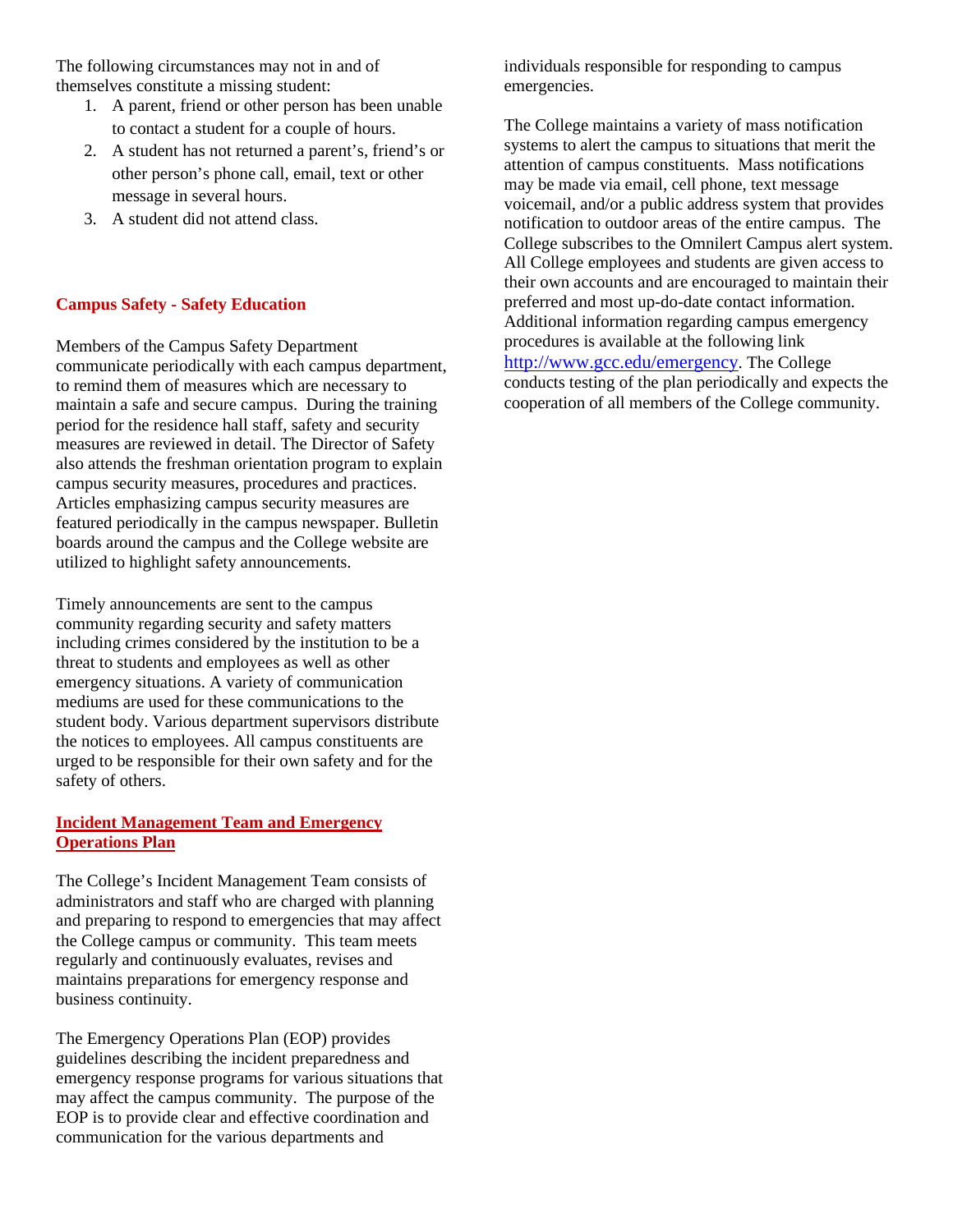The following circumstances may not in and of themselves constitute a missing student:

- 1. A parent, friend or other person has been unable to contact a student for a couple of hours.
- 2. A student has not returned a parent's, friend's or other person's phone call, email, text or other message in several hours.
- 3. A student did not attend class.

#### **Campus Safety - Safety Education**

Members of the Campus Safety Department communicate periodically with each campus department, to remind them of measures which are necessary to maintain a safe and secure campus. During the training period for the residence hall staff, safety and security measures are reviewed in detail. The Director of Safety also attends the freshman orientation program to explain campus security measures, procedures and practices. Articles emphasizing campus security measures are featured periodically in the campus newspaper. Bulletin boards around the campus and the College website are utilized to highlight safety announcements.

Timely announcements are sent to the campus community regarding security and safety matters including crimes considered by the institution to be a threat to students and employees as well as other emergency situations. A variety of communication mediums are used for these communications to the student body. Various department supervisors distribute the notices to employees. All campus constituents are urged to be responsible for their own safety and for the safety of others.

#### **Incident Management Team and Emergency Operations Plan**

The College's Incident Management Team consists of administrators and staff who are charged with planning and preparing to respond to emergencies that may affect the College campus or community. This team meets regularly and continuously evaluates, revises and maintains preparations for emergency response and business continuity.

The Emergency Operations Plan (EOP) provides guidelines describing the incident preparedness and emergency response programs for various situations that may affect the campus community. The purpose of the EOP is to provide clear and effective coordination and communication for the various departments and

individuals responsible for responding to campus emergencies.

The College maintains a variety of mass notification systems to alert the campus to situations that merit the attention of campus constituents. Mass notifications may be made via email, cell phone, text message voicemail, and/or a public address system that provides notification to outdoor areas of the entire campus. The College subscribes to the Omnilert Campus alert system. All College employees and students are given access to their own accounts and are encouraged to maintain their preferred and most up-do-date contact information. Additional information regarding campus emergency procedures is available at the following link [http://www.gcc.edu/emergency.](http://www.gcc.edu/emergency) The College conducts testing of the plan periodically and expects the cooperation of all members of the College community.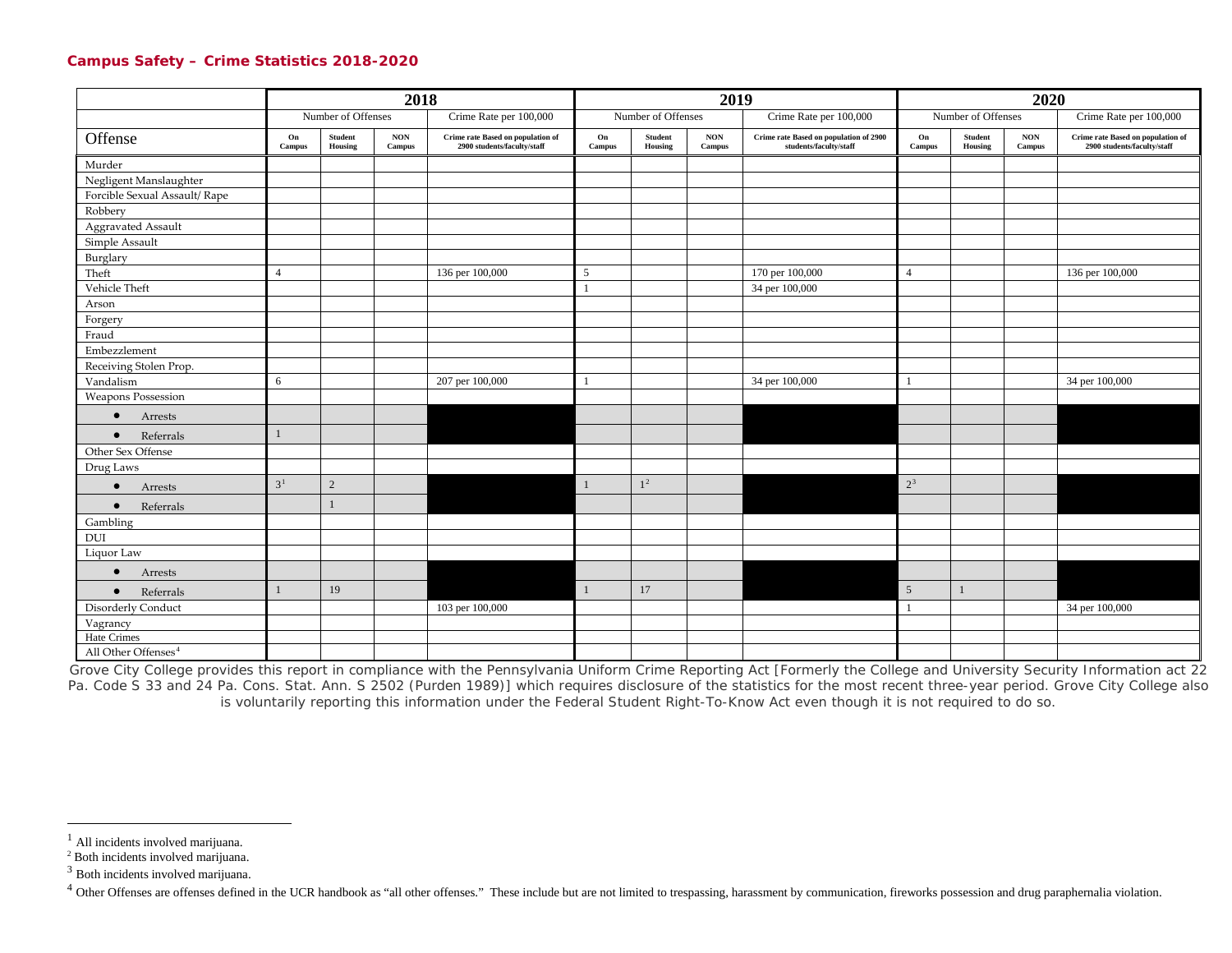#### <span id="page-7-3"></span><span id="page-7-2"></span><span id="page-7-1"></span><span id="page-7-0"></span>**Campus Safety – Crime Statistics 2018-2020**

|                                 | 2018                |                    |                      |                                                                  | 2019         |                                            |  |                                                                  |                                           | 2020         |                      |                                                                  |  |
|---------------------------------|---------------------|--------------------|----------------------|------------------------------------------------------------------|--------------|--------------------------------------------|--|------------------------------------------------------------------|-------------------------------------------|--------------|----------------------|------------------------------------------------------------------|--|
|                                 |                     | Number of Offenses |                      | Crime Rate per 100,000                                           |              | Number of Offenses                         |  | Crime Rate per 100,000                                           | Number of Offenses                        |              |                      | Crime Rate per 100,000                                           |  |
| Offense                         | On<br><b>Campus</b> | Student<br>Housing | $\bf{NON}$<br>Campus | Crime rate Based on population of<br>2900 students/faculty/staff | On<br>Campus | $\bf{NON}$<br>Student<br>Housing<br>Campus |  | Crime rate Based on population of 2900<br>students/faculty/staff | <b>Student</b><br>On<br>Housing<br>Campus |              | $\bf{NON}$<br>Campus | Crime rate Based on population of<br>2900 students/faculty/staff |  |
| Murder                          |                     |                    |                      |                                                                  |              |                                            |  |                                                                  |                                           |              |                      |                                                                  |  |
| Negligent Manslaughter          |                     |                    |                      |                                                                  |              |                                            |  |                                                                  |                                           |              |                      |                                                                  |  |
| Forcible Sexual Assault/ Rape   |                     |                    |                      |                                                                  |              |                                            |  |                                                                  |                                           |              |                      |                                                                  |  |
| Robbery                         |                     |                    |                      |                                                                  |              |                                            |  |                                                                  |                                           |              |                      |                                                                  |  |
| Aggravated Assault              |                     |                    |                      |                                                                  |              |                                            |  |                                                                  |                                           |              |                      |                                                                  |  |
| Simple Assault                  |                     |                    |                      |                                                                  |              |                                            |  |                                                                  |                                           |              |                      |                                                                  |  |
| Burglary                        |                     |                    |                      |                                                                  |              |                                            |  |                                                                  |                                           |              |                      |                                                                  |  |
| Theft                           | $\overline{4}$      |                    |                      | 136 per 100,000                                                  | 5            |                                            |  | 170 per 100,000                                                  | $\overline{4}$                            |              |                      | 136 per 100,000                                                  |  |
| Vehicle Theft                   |                     |                    |                      |                                                                  |              |                                            |  | 34 per 100,000                                                   |                                           |              |                      |                                                                  |  |
| Arson                           |                     |                    |                      |                                                                  |              |                                            |  |                                                                  |                                           |              |                      |                                                                  |  |
| Forgery                         |                     |                    |                      |                                                                  |              |                                            |  |                                                                  |                                           |              |                      |                                                                  |  |
| Fraud                           |                     |                    |                      |                                                                  |              |                                            |  |                                                                  |                                           |              |                      |                                                                  |  |
| Embezzlement                    |                     |                    |                      |                                                                  |              |                                            |  |                                                                  |                                           |              |                      |                                                                  |  |
| Receiving Stolen Prop.          |                     |                    |                      |                                                                  |              |                                            |  |                                                                  |                                           |              |                      |                                                                  |  |
| Vandalism                       | 6                   |                    |                      | 207 per 100,000                                                  |              |                                            |  | 34 per 100,000                                                   |                                           |              |                      | 34 per 100,000                                                   |  |
| <b>Weapons Possession</b>       |                     |                    |                      |                                                                  |              |                                            |  |                                                                  |                                           |              |                      |                                                                  |  |
| Arrests<br>$\bullet$            |                     |                    |                      |                                                                  |              |                                            |  |                                                                  |                                           |              |                      |                                                                  |  |
| Referrals<br>$\bullet$          | $\mathbf{1}$        |                    |                      |                                                                  |              |                                            |  |                                                                  |                                           |              |                      |                                                                  |  |
| Other Sex Offense               |                     |                    |                      |                                                                  |              |                                            |  |                                                                  |                                           |              |                      |                                                                  |  |
| Drug Laws                       |                     |                    |                      |                                                                  |              |                                            |  |                                                                  |                                           |              |                      |                                                                  |  |
| $\bullet$<br>Arrests            | 3 <sup>1</sup>      | $\sqrt{2}$         |                      |                                                                  | $\mathbf{1}$ | 1 <sup>2</sup>                             |  |                                                                  | $2^3$                                     |              |                      |                                                                  |  |
| Referrals<br>$\bullet$          |                     |                    |                      |                                                                  |              |                                            |  |                                                                  |                                           |              |                      |                                                                  |  |
| Gambling                        |                     |                    |                      |                                                                  |              |                                            |  |                                                                  |                                           |              |                      |                                                                  |  |
| DUI                             |                     |                    |                      |                                                                  |              |                                            |  |                                                                  |                                           |              |                      |                                                                  |  |
| Liquor Law                      |                     |                    |                      |                                                                  |              |                                            |  |                                                                  |                                           |              |                      |                                                                  |  |
| Arrests<br>$\bullet$            |                     |                    |                      |                                                                  |              |                                            |  |                                                                  |                                           |              |                      |                                                                  |  |
| Referrals<br>$\bullet$          | $\mathbf{1}$        | 19                 |                      |                                                                  | $\mathbf{1}$ | 17                                         |  |                                                                  | $5\overline{)}$                           | $\mathbf{1}$ |                      |                                                                  |  |
| Disorderly Conduct              |                     |                    |                      | 103 per 100,000                                                  |              |                                            |  |                                                                  |                                           |              |                      | 34 per 100,000                                                   |  |
| Vagrancy                        |                     |                    |                      |                                                                  |              |                                            |  |                                                                  |                                           |              |                      |                                                                  |  |
| Hate Crimes                     |                     |                    |                      |                                                                  |              |                                            |  |                                                                  |                                           |              |                      |                                                                  |  |
| All Other Offenses <sup>4</sup> |                     |                    |                      |                                                                  |              |                                            |  |                                                                  |                                           |              |                      |                                                                  |  |

Grove City College provides this report in compliance with the Pennsylvania Uniform Crime Reporting Act [Formerly the College and University Security Information act 22 Pa. Code S 33 and 24 Pa. Cons. Stat. Ann. S 2502 (Purden 1989)] which requires disclosure of the statistics for the most recent three-year period. Grove City College also is voluntarily reporting this information under the Federal Student Right-To-Know Act even though it is not required to do so.

<sup>&</sup>lt;sup>1</sup> All incidents involved marijuana.

<sup>&</sup>lt;sup>2</sup> Both incidents involved marijuana.

<sup>3</sup> Both incidents involved marijuana.

<sup>&</sup>lt;sup>4</sup> Other Offenses are offenses defined in the UCR handbook as "all other offenses." These include but are not limited to trespassing, harassment by communication, fireworks possession and drug paraphernalia violation.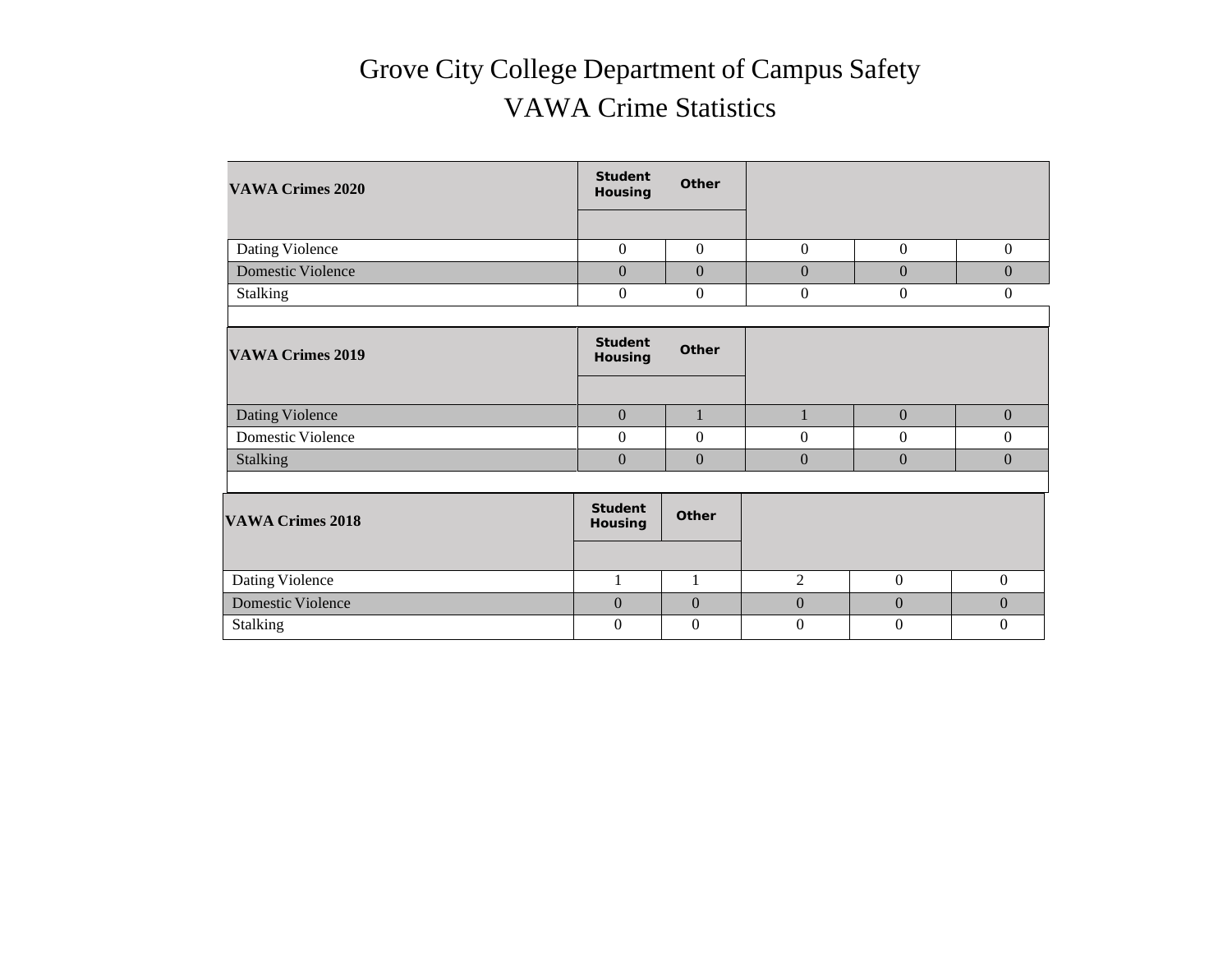## Grove City College Department of Campus Safety VAWA Crime Statistics

| <b>VAWA Crimes 2020</b>  | <b>Student</b><br>Housing        | Other            |                  |                  |                  |
|--------------------------|----------------------------------|------------------|------------------|------------------|------------------|
|                          |                                  |                  |                  |                  |                  |
| Dating Violence          | $\boldsymbol{0}$                 | $\overline{0}$   | $\mathbf{0}$     | $\boldsymbol{0}$ | $\mathbf{0}$     |
| <b>Domestic Violence</b> | $\boldsymbol{0}$                 | $\boldsymbol{0}$ | $\boldsymbol{0}$ | $\boldsymbol{0}$ | $\boldsymbol{0}$ |
| Stalking                 | $\boldsymbol{0}$                 | $\overline{0}$   | $\boldsymbol{0}$ | $\boldsymbol{0}$ | $\boldsymbol{0}$ |
|                          |                                  |                  |                  |                  |                  |
| <b>VAWA Crimes 2019</b>  | <b>Student</b><br>Housing        | Other            |                  |                  |                  |
|                          |                                  |                  |                  |                  |                  |
| Dating Violence          | $\boldsymbol{0}$                 | $\mathbf{1}$     | $\mathbf{1}$     | $\boldsymbol{0}$ | $\boldsymbol{0}$ |
| Domestic Violence        | $\boldsymbol{0}$                 | $\boldsymbol{0}$ | $\boldsymbol{0}$ | $\boldsymbol{0}$ | 0                |
| <b>Stalking</b>          | $\overline{0}$                   | $\boldsymbol{0}$ | $\mathbf{0}$     | $\mathbf{0}$     | $\overline{0}$   |
|                          |                                  |                  |                  |                  |                  |
| <b>VAWA Crimes 2018</b>  | <b>Student</b><br><b>Housing</b> | Other            |                  |                  |                  |
|                          |                                  |                  |                  |                  |                  |
| Dating Violence          | $\mathbf{1}$                     | $\mathbf{1}$     | $\overline{2}$   | $\boldsymbol{0}$ | $\boldsymbol{0}$ |
| <b>Domestic Violence</b> | $\mathbf{0}$                     | $\mathbf{0}$     | $\boldsymbol{0}$ | $\mathbf{0}$     | $\Omega$         |
| <b>Stalking</b>          | $\overline{0}$                   | $\Omega$         | $\mathbf{0}$     | $\overline{0}$   | $\theta$         |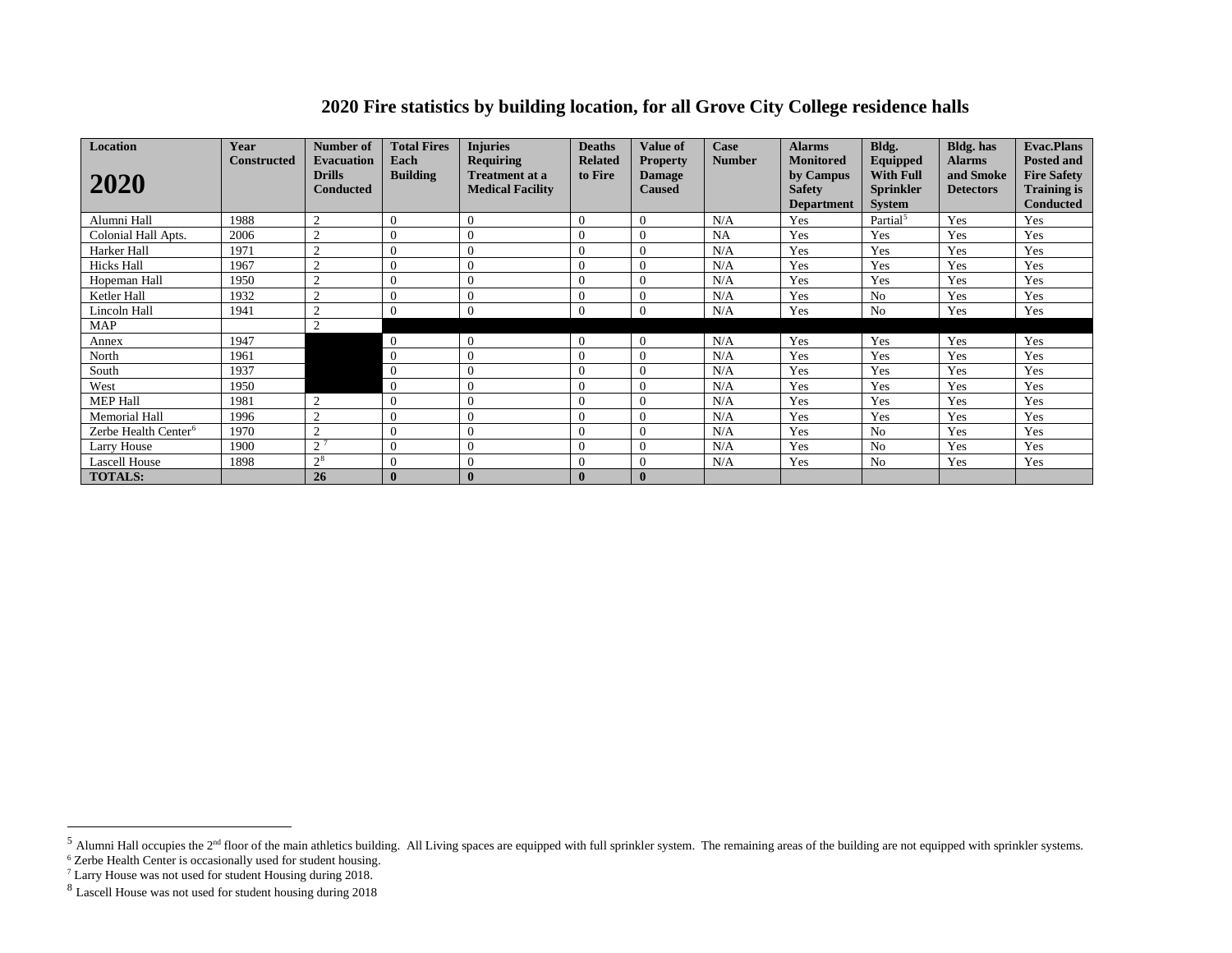### <span id="page-9-3"></span><span id="page-9-2"></span><span id="page-9-1"></span><span id="page-9-0"></span>**2020 Fire statistics by building location, for all Grove City College residence halls**

| Location<br>2020                 | Year<br>Constructed | Number of<br><b>Evacuation</b><br><b>Drills</b><br><b>Conducted</b> | <b>Total Fires</b><br>Each<br><b>Building</b> | <b>Injuries</b><br><b>Requiring</b><br><b>Treatment at a</b><br><b>Medical Facility</b> | <b>Deaths</b><br><b>Related</b><br>to Fire | <b>Value of</b><br><b>Property</b><br><b>Damage</b><br><b>Caused</b> | Case<br><b>Number</b> | <b>Alarms</b><br><b>Monitored</b><br>by Campus<br><b>Safety</b><br><b>Department</b> | Bldg.<br>Equipped<br><b>With Full</b><br><b>Sprinkler</b><br><b>System</b> | <b>Bldg.</b> has<br><b>Alarms</b><br>and Smoke<br><b>Detectors</b> | <b>Evac.Plans</b><br><b>Posted and</b><br><b>Fire Safety</b><br><b>Training is</b><br><b>Conducted</b> |
|----------------------------------|---------------------|---------------------------------------------------------------------|-----------------------------------------------|-----------------------------------------------------------------------------------------|--------------------------------------------|----------------------------------------------------------------------|-----------------------|--------------------------------------------------------------------------------------|----------------------------------------------------------------------------|--------------------------------------------------------------------|--------------------------------------------------------------------------------------------------------|
| Alumni Hall                      | 1988                | $\overline{2}$                                                      | $\theta$                                      | $\Omega$                                                                                | 0                                          | $\Omega$                                                             | N/A                   | Yes                                                                                  | Partial <sup>5</sup>                                                       | Yes                                                                | Yes                                                                                                    |
| Colonial Hall Apts.              | 2006                | $\mathcal{L}$                                                       |                                               |                                                                                         | $\Omega$                                   | $\Omega$                                                             | <b>NA</b>             | Yes                                                                                  | Yes                                                                        | Yes                                                                | Yes                                                                                                    |
| Harker Hall                      | 1971                | $\overline{2}$                                                      |                                               |                                                                                         | $\Omega$                                   | $\Omega$                                                             | N/A                   | Yes                                                                                  | Yes                                                                        | Yes                                                                | Yes                                                                                                    |
| <b>Hicks Hall</b>                | 1967                | $\Omega$                                                            | $\Omega$                                      | $\Omega$                                                                                | $\theta$                                   | $\Omega$                                                             | N/A                   | Yes                                                                                  | Yes                                                                        | Yes                                                                | Yes                                                                                                    |
| Hopeman Hall                     | 1950                | $\overline{2}$                                                      |                                               | $\Omega$                                                                                | $\theta$                                   | $\Omega$                                                             | N/A                   | Yes                                                                                  | Yes                                                                        | Yes                                                                | Yes                                                                                                    |
| Ketler Hall                      | 1932                | $\overline{2}$                                                      |                                               | $\Omega$                                                                                | 0                                          | $\overline{0}$                                                       | N/A                   | Yes                                                                                  | N <sub>o</sub>                                                             | Yes                                                                | Yes                                                                                                    |
| Lincoln Hall                     | 1941                | $\Omega$                                                            |                                               | $\Omega$                                                                                | 0                                          | $\Omega$                                                             | N/A                   | Yes                                                                                  | N <sub>0</sub>                                                             | Yes                                                                | Yes                                                                                                    |
| <b>MAP</b>                       |                     | $\Omega$                                                            |                                               |                                                                                         |                                            |                                                                      |                       |                                                                                      |                                                                            |                                                                    |                                                                                                        |
| Annex                            | 1947                |                                                                     | $\overline{0}$                                | $\Omega$                                                                                | $\Omega$                                   | $\theta$                                                             | N/A                   | Yes                                                                                  | Yes                                                                        | Yes                                                                | Yes                                                                                                    |
| North                            | 1961                |                                                                     | $\overline{0}$                                | $\Omega$                                                                                | $\theta$                                   | $\Omega$                                                             | N/A                   | Yes                                                                                  | Yes                                                                        | Yes                                                                | Yes                                                                                                    |
| South                            | 1937                |                                                                     | $\overline{0}$                                |                                                                                         | $\Omega$                                   | $\Omega$                                                             | N/A                   | Yes                                                                                  | Yes                                                                        | Yes                                                                | Yes                                                                                                    |
| West                             | 1950                |                                                                     | $\overline{0}$                                | $\theta$                                                                                | $\theta$                                   | $\Omega$                                                             | N/A                   | Yes                                                                                  | Yes                                                                        | Yes                                                                | Yes                                                                                                    |
| <b>MEP Hall</b>                  | 1981                | $\overline{2}$                                                      | $\Omega$                                      | $\Omega$                                                                                | $\Omega$                                   | $\Omega$                                                             | N/A                   | Yes                                                                                  | Yes                                                                        | Yes                                                                | Yes                                                                                                    |
| Memorial Hall                    | 1996                | $\overline{2}$                                                      |                                               | $\Omega$                                                                                | $\Omega$                                   | $\Omega$                                                             | N/A                   | Yes                                                                                  | Yes                                                                        | Yes                                                                | Yes                                                                                                    |
| Zerbe Health Center <sup>6</sup> | 1970                | $\overline{2}$                                                      |                                               |                                                                                         | $\Omega$                                   | $\Omega$                                                             | N/A                   | Yes                                                                                  | N <sub>o</sub>                                                             | Yes                                                                | Yes                                                                                                    |
| Larry House                      | 1900                | $\gamma$ 7                                                          |                                               |                                                                                         | $\Omega$                                   | $\Omega$                                                             | N/A                   | Yes                                                                                  | N <sub>o</sub>                                                             | Yes                                                                | Yes                                                                                                    |
| <b>Lascell House</b>             | 1898                | $2^{8}$                                                             | $\theta$                                      | $\Omega$                                                                                | $\Omega$                                   | $\Omega$                                                             | N/A                   | Yes                                                                                  | N <sub>o</sub>                                                             | Yes                                                                | Yes                                                                                                    |
| <b>TOTALS:</b>                   |                     | 26                                                                  |                                               | $\bf{0}$                                                                                | $\bf{0}$                                   | $\bf{0}$                                                             |                       |                                                                                      |                                                                            |                                                                    |                                                                                                        |

 $<sup>5</sup>$  Alumni Hall occupies the  $2<sup>nd</sup>$  floor of the main athletics building. All Living spaces are equipped with full sprinkler system. The remaining areas of the building are not equipped with sprinkler systems.</sup>

<sup>&</sup>lt;sup>6</sup> Zerbe Health Center is occasionally used for student housing.

<sup>&</sup>lt;sup>7</sup> Larry House was not used for student Housing during 2018.

<sup>8</sup> Lascell House was not used for student housing during 2018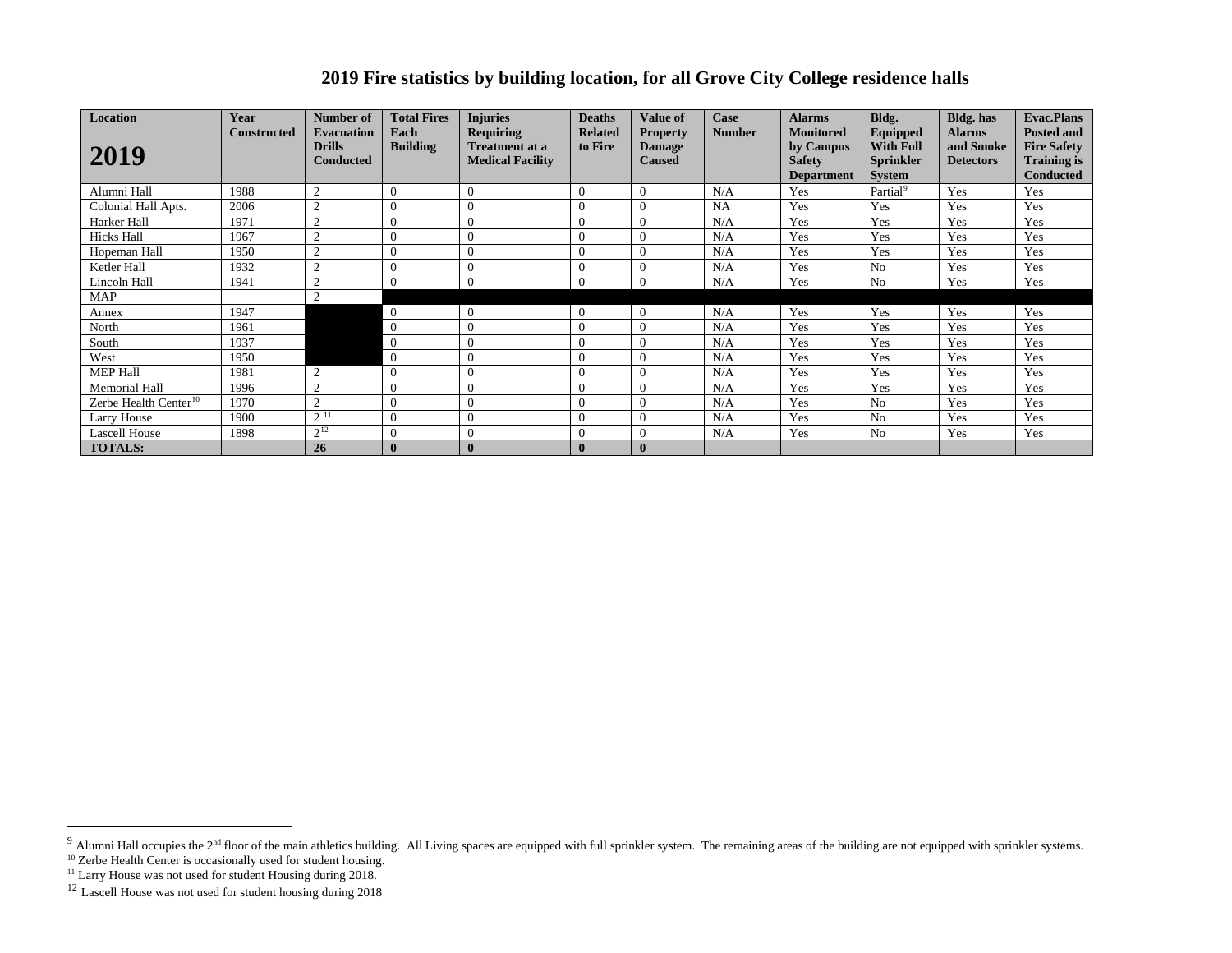### <span id="page-10-3"></span><span id="page-10-2"></span><span id="page-10-1"></span><span id="page-10-0"></span>**2019 Fire statistics by building location, for all Grove City College residence halls**

| Location                          | Year        | Number of                                              | <b>Total Fires</b>      | <b>Injuries</b>                                                      | <b>Deaths</b>             | <b>Value of</b>                                   | Case          | <b>Alarms</b>                                                       | Bldg.                                                             | <b>Bldg.</b> has                               | <b>Evac.Plans</b>                                                                 |
|-----------------------------------|-------------|--------------------------------------------------------|-------------------------|----------------------------------------------------------------------|---------------------------|---------------------------------------------------|---------------|---------------------------------------------------------------------|-------------------------------------------------------------------|------------------------------------------------|-----------------------------------------------------------------------------------|
| 2019                              | Constructed | <b>Evacuation</b><br><b>Drills</b><br><b>Conducted</b> | Each<br><b>Building</b> | <b>Requiring</b><br><b>Treatment at a</b><br><b>Medical Facility</b> | <b>Related</b><br>to Fire | <b>Property</b><br><b>Damage</b><br><b>Caused</b> | <b>Number</b> | <b>Monitored</b><br>by Campus<br><b>Safety</b><br><b>Department</b> | Equipped<br><b>With Full</b><br><b>Sprinkler</b><br><b>System</b> | <b>Alarms</b><br>and Smoke<br><b>Detectors</b> | <b>Posted and</b><br><b>Fire Safety</b><br><b>Training is</b><br><b>Conducted</b> |
| Alumni Hall                       | 1988        | $\overline{2}$                                         | $\overline{0}$          | $\Omega$                                                             | $\theta$                  | $\Omega$                                          | N/A           | Yes                                                                 | Partial <sup>9</sup>                                              | Yes                                            | Yes                                                                               |
| Colonial Hall Apts.               | 2006        | $\overline{2}$                                         | $\Omega$                |                                                                      | $\Omega$                  | $\Omega$                                          | <b>NA</b>     | Yes                                                                 | Yes                                                               | Yes                                            | Yes                                                                               |
| Harker Hall                       | 1971        | 2                                                      | $\overline{0}$          |                                                                      | $\Omega$                  | $\Omega$                                          | N/A           | Yes                                                                 | Yes                                                               | Yes                                            | Yes                                                                               |
| Hicks Hall                        | 1967        | $\overline{2}$                                         | $\Omega$                |                                                                      |                           |                                                   | N/A           | Yes                                                                 | Yes                                                               | Yes                                            | Yes                                                                               |
| Hopeman Hall                      | 1950        | $\overline{2}$                                         | $\mathbf{0}$            |                                                                      | $\theta$                  | $\Omega$                                          | N/A           | Yes                                                                 | Yes                                                               | Yes                                            | Yes                                                                               |
| Ketler Hall                       | 1932        | 2                                                      | $\theta$                | $\Omega$                                                             | $\Omega$                  | $\Omega$                                          | N/A           | Yes                                                                 | N <sub>o</sub>                                                    | Yes                                            | Yes                                                                               |
| Lincoln Hall                      | 1941        | $\overline{2}$                                         | $\overline{0}$          | $\Omega$                                                             | $\Omega$                  | $\Omega$                                          | N/A           | Yes                                                                 | N <sub>0</sub>                                                    | Yes                                            | Yes                                                                               |
| MAP                               |             | $\overline{2}$                                         |                         |                                                                      |                           |                                                   |               |                                                                     |                                                                   |                                                |                                                                                   |
| Annex                             | 1947        |                                                        | $\overline{0}$          | $\overline{0}$                                                       | $\theta$                  | $\Omega$                                          | N/A           | Yes                                                                 | Yes                                                               | Yes                                            | Yes                                                                               |
| North                             | 1961        |                                                        | $\overline{0}$          |                                                                      | $\theta$                  | $\Omega$                                          | N/A           | Yes                                                                 | Yes                                                               | Yes                                            | Yes                                                                               |
| South                             | 1937        |                                                        | $\overline{0}$          |                                                                      | $\Omega$                  | $\Omega$                                          | N/A           | Yes                                                                 | Yes                                                               | Yes                                            | Yes                                                                               |
| West                              | 1950        |                                                        | $\overline{0}$          |                                                                      | $\Omega$                  | $\Omega$                                          | N/A           | Yes                                                                 | Yes                                                               | Yes                                            | Yes                                                                               |
| <b>MEP Hall</b>                   | 1981        | $\overline{2}$                                         | $\theta$                |                                                                      | $\Omega$                  | $\Omega$                                          | N/A           | Yes                                                                 | Yes                                                               | Yes                                            | Yes                                                                               |
| <b>Memorial Hall</b>              | 1996        | $\overline{2}$                                         | $\overline{0}$          |                                                                      | $\Omega$                  | $\Omega$                                          | N/A           | Yes                                                                 | Yes                                                               | Yes                                            | Yes                                                                               |
| Zerbe Health Center <sup>10</sup> | 1970        | $\overline{2}$                                         | $\overline{0}$          |                                                                      | $\Omega$                  |                                                   | N/A           | Yes                                                                 | N <sub>o</sub>                                                    | Yes                                            | Yes                                                                               |
| Larry House                       | 1900        | $2^{11}$                                               | $\theta$                | $\Omega$                                                             | $\theta$                  | $\Omega$                                          | N/A           | Yes                                                                 | N <sub>o</sub>                                                    | Yes                                            | Yes                                                                               |
| <b>Lascell House</b>              | 1898        | $2^{12}$                                               | $\overline{0}$          |                                                                      | $\theta$                  | $\Omega$                                          | N/A           | Yes                                                                 | N <sub>0</sub>                                                    | Yes                                            | Yes                                                                               |
| <b>TOTALS:</b>                    |             | 26                                                     | $\mathbf{0}$            |                                                                      |                           | $\mathbf{0}$                                      |               |                                                                     |                                                                   |                                                |                                                                                   |

 $9$  Alumni Hall occupies the 2<sup>nd</sup> floor of the main athletics building. All Living spaces are equipped with full sprinkler system. The remaining areas of the building are not equipped with sprinkler systems.

<sup>&</sup>lt;sup>10</sup> Zerbe Health Center is occasionally used for student housing.

<sup>&</sup>lt;sup>11</sup> Larry House was not used for student Housing during 2018.

<sup>&</sup>lt;sup>12</sup> Lascell House was not used for student housing during 2018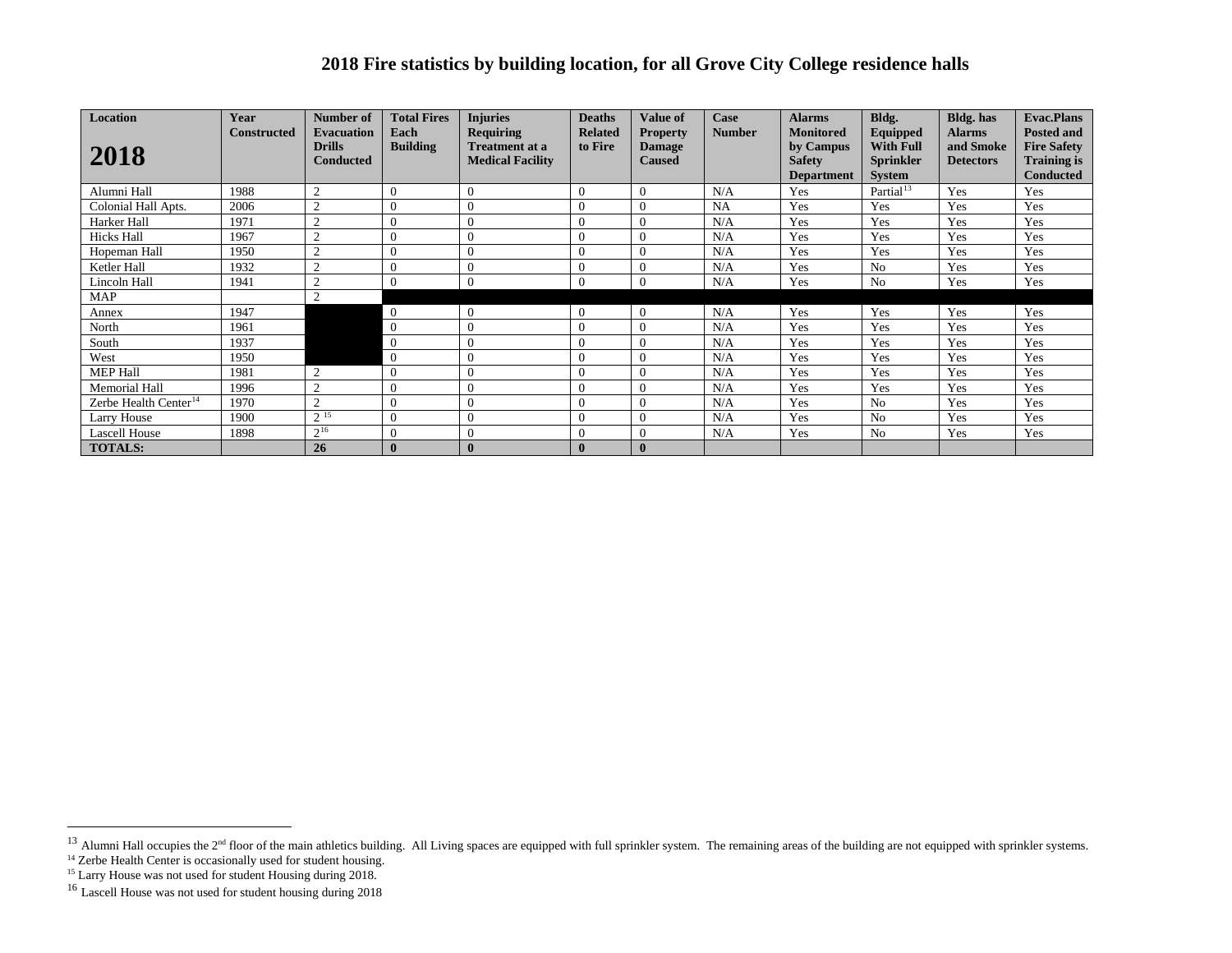### <span id="page-11-3"></span><span id="page-11-2"></span><span id="page-11-1"></span><span id="page-11-0"></span>**2018 Fire statistics by building location, for all Grove City College residence halls**

| <b>Location</b>                   | Year               | Number of                         | <b>Total Fires</b> | <b>Injuries</b>                                  | <b>Deaths</b>  | <b>Value of</b>                | Case          | <b>Alarms</b>              | Bldg.                                | <b>Bldg.</b> has              | <b>Evac.Plans</b>                        |
|-----------------------------------|--------------------|-----------------------------------|--------------------|--------------------------------------------------|----------------|--------------------------------|---------------|----------------------------|--------------------------------------|-------------------------------|------------------------------------------|
|                                   | <b>Constructed</b> | <b>Evacuation</b>                 | Each               | <b>Requiring</b>                                 | <b>Related</b> | <b>Property</b>                | <b>Number</b> | <b>Monitored</b>           | Equipped                             | <b>Alarms</b>                 | <b>Posted and</b>                        |
| 2018                              |                    | <b>Drills</b><br><b>Conducted</b> | <b>Building</b>    | <b>Treatment at a</b><br><b>Medical Facility</b> | to Fire        | <b>Damage</b><br><b>Caused</b> |               | by Campus<br><b>Safety</b> | <b>With Full</b><br><b>Sprinkler</b> | and Smoke<br><b>Detectors</b> | <b>Fire Safety</b><br><b>Training is</b> |
|                                   |                    |                                   |                    |                                                  |                |                                |               | <b>Department</b>          | <b>System</b>                        |                               | <b>Conducted</b>                         |
| Alumni Hall                       | 1988               | $\overline{2}$                    | $\theta$           | $\Omega$                                         | 0              | $\Omega$                       | N/A           | Yes                        | Partial <sup>13</sup>                | Yes                           | Yes                                      |
| Colonial Hall Apts.               | 2006               | $\overline{2}$                    | $\theta$           | $\Omega$                                         | $\Omega$       | $\Omega$                       | <b>NA</b>     | Yes                        | Yes                                  | Yes                           | Yes                                      |
| Harker Hall                       | 1971               | $\overline{2}$                    | $\theta$           | $\Omega$                                         | 0              | $\Omega$                       | N/A           | Yes                        | Yes                                  | Yes                           | Yes                                      |
| <b>Hicks Hall</b>                 | 1967               | $\mathcal{D}$                     |                    |                                                  | $\Omega$       | $\Omega$                       | N/A           | Yes                        | Yes                                  | Yes                           | Yes                                      |
| Hopeman Hall                      | 1950               | $\Omega$                          | $\Omega$           | $\Omega$                                         | $\Omega$       | $\Omega$                       | N/A           | Yes                        | Yes                                  | Yes                           | Yes                                      |
| Ketler Hall                       | 1932               | $\overline{2}$                    |                    |                                                  | 0              | $\overline{0}$                 | N/A           | Yes                        | N <sub>o</sub>                       | Yes                           | Yes                                      |
| Lincoln Hall                      | 1941               | $\Omega$                          |                    | $\Omega$                                         | $\Omega$       | $\Omega$                       | N/A           | Yes                        | N <sub>o</sub>                       | Yes                           | Yes                                      |
| MAP                               |                    | $\mathcal{L}$                     |                    |                                                  |                |                                |               |                            |                                      |                               |                                          |
| Annex                             | 1947               |                                   | $\overline{0}$     | $\Omega$                                         | 0              | $\Omega$                       | N/A           | Yes                        | Yes                                  | Yes                           | Yes                                      |
| North                             | 1961               |                                   | $\overline{0}$     | 0                                                | 0              | $\Omega$                       | N/A           | Yes                        | Yes                                  | Yes                           | Yes                                      |
| South                             | 1937               |                                   | $\overline{0}$     |                                                  | $\Omega$       | $\Omega$                       | N/A           | Yes                        | Yes                                  | Yes                           | Yes                                      |
| West                              | 1950               |                                   | $\overline{0}$     |                                                  | $\theta$       | $\Omega$                       | N/A           | Yes                        | Yes                                  | Yes                           | Yes                                      |
| <b>MEP Hall</b>                   | 1981               | $\overline{2}$                    | $\Omega$           | $\Omega$                                         | $\Omega$       | $\Omega$                       | N/A           | Yes                        | Yes                                  | Yes                           | Yes                                      |
| Memorial Hall                     | 1996               | $\overline{2}$                    | $\Omega$           | $\Omega$                                         | $\theta$       | $\Omega$                       | N/A           | Yes                        | Yes                                  | Yes                           | Yes                                      |
| Zerbe Health Center <sup>14</sup> | 1970               | $\overline{2}$                    |                    |                                                  | $\Omega$       | $\Omega$                       | N/A           | Yes                        | N <sub>o</sub>                       | Yes                           | Yes                                      |
| Larry House                       | 1900               | 215                               | $\Omega$           | $\Omega$                                         | $\theta$       | $\Omega$                       | N/A           | Yes                        | N <sub>o</sub>                       | Yes                           | Yes                                      |
| <b>Lascell House</b>              | 1898               | $2^{16}$                          | $\Omega$           | $\Omega$                                         | $\theta$       | $\overline{0}$                 | N/A           | Yes                        | N <sub>o</sub>                       | Yes                           | Yes                                      |
| <b>TOTALS:</b>                    |                    | 26                                |                    | $\mathbf{0}$                                     |                | $\bf{0}$                       |               |                            |                                      |                               |                                          |

<sup>&</sup>lt;sup>13</sup> Alumni Hall occupies the 2<sup>nd</sup> floor of the main athletics building. All Living spaces are equipped with full sprinkler system. The remaining areas of the building are not equipped with sprinkler systems.

<sup>&</sup>lt;sup>14</sup> Zerbe Health Center is occasionally used for student housing.

<sup>&</sup>lt;sup>15</sup> Larry House was not used for student Housing during 2018.

<sup>&</sup>lt;sup>16</sup> Lascell House was not used for student housing during 2018